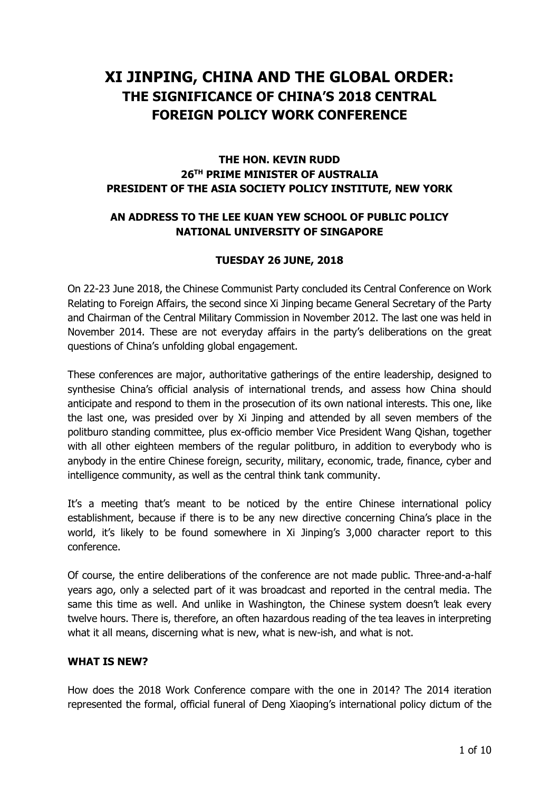# **XI JINPING, CHINA AND THE GLOBAL ORDER: THE SIGNIFICANCE OF CHINA'S 2018 CENTRAL FOREIGN POLICY WORK CONFERENCE**

# **THE HON. KEVIN RUDD 26TH PRIME MINISTER OF AUSTRALIA PRESIDENT OF THE ASIA SOCIETY POLICY INSTITUTE, NEW YORK**

# **AN ADDRESS TO THE LEE KUAN YEW SCHOOL OF PUBLIC POLICY NATIONAL UNIVERSITY OF SINGAPORE**

# **TUESDAY 26 JUNE, 2018**

On 22-23 June 2018, the Chinese Communist Party concluded its Central Conference on Work Relating to Foreign Affairs, the second since Xi Jinping became General Secretary of the Party and Chairman of the Central Military Commission in November 2012. The last one was held in November 2014. These are not everyday affairs in the party's deliberations on the great questions of China's unfolding global engagement.

These conferences are major, authoritative gatherings of the entire leadership, designed to synthesise China's official analysis of international trends, and assess how China should anticipate and respond to them in the prosecution of its own national interests. This one, like the last one, was presided over by Xi Jinping and attended by all seven members of the politburo standing committee, plus ex-officio member Vice President Wang Qishan, together with all other eighteen members of the regular politburo, in addition to everybody who is anybody in the entire Chinese foreign, security, military, economic, trade, finance, cyber and intelligence community, as well as the central think tank community.

It's a meeting that's meant to be noticed by the entire Chinese international policy establishment, because if there is to be any new directive concerning China's place in the world, it's likely to be found somewhere in Xi Jinping's 3,000 character report to this conference.

Of course, the entire deliberations of the conference are not made public. Three-and-a-half years ago, only a selected part of it was broadcast and reported in the central media. The same this time as well. And unlike in Washington, the Chinese system doesn't leak every twelve hours. There is, therefore, an often hazardous reading of the tea leaves in interpreting what it all means, discerning what is new, what is new-ish, and what is not.

#### **WHAT IS NEW?**

How does the 2018 Work Conference compare with the one in 2014? The 2014 iteration represented the formal, official funeral of Deng Xiaoping's international policy dictum of the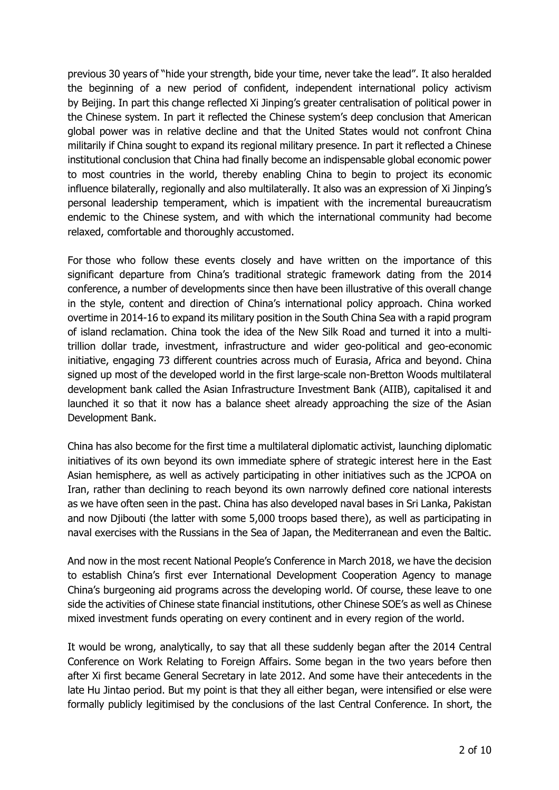previous 30 years of "hide your strength, bide your time, never take the lead". It also heralded the beginning of a new period of confident, independent international policy activism by Beijing. In part this change reflected Xi Jinping's greater centralisation of political power in the Chinese system. In part it reflected the Chinese system's deep conclusion that American global power was in relative decline and that the United States would not confront China militarily if China sought to expand its regional military presence. In part it reflected a Chinese institutional conclusion that China had finally become an indispensable global economic power to most countries in the world, thereby enabling China to begin to project its economic influence bilaterally, regionally and also multilaterally. It also was an expression of Xi Jinping's personal leadership temperament, which is impatient with the incremental bureaucratism endemic to the Chinese system, and with which the international community had become relaxed, comfortable and thoroughly accustomed.

For those who follow these events closely and have written on the importance of this significant departure from China's traditional strategic framework dating from the 2014 conference, a number of developments since then have been illustrative of this overall change in the style, content and direction of China's international policy approach. China worked overtime in 2014-16 to expand its military position in the South China Sea with a rapid program of island reclamation. China took the idea of the New Silk Road and turned it into a multitrillion dollar trade, investment, infrastructure and wider geo-political and geo-economic initiative, engaging 73 different countries across much of Eurasia, Africa and beyond. China signed up most of the developed world in the first large-scale non-Bretton Woods multilateral development bank called the Asian Infrastructure Investment Bank (AIIB), capitalised it and launched it so that it now has a balance sheet already approaching the size of the Asian Development Bank.

China has also become for the first time a multilateral diplomatic activist, launching diplomatic initiatives of its own beyond its own immediate sphere of strategic interest here in the East Asian hemisphere, as well as actively participating in other initiatives such as the JCPOA on Iran, rather than declining to reach beyond its own narrowly defined core national interests as we have often seen in the past. China has also developed naval bases in Sri Lanka, Pakistan and now Djibouti (the latter with some 5,000 troops based there), as well as participating in naval exercises with the Russians in the Sea of Japan, the Mediterranean and even the Baltic.

And now in the most recent National People's Conference in March 2018, we have the decision to establish China's first ever International Development Cooperation Agency to manage China's burgeoning aid programs across the developing world. Of course, these leave to one side the activities of Chinese state financial institutions, other Chinese SOE's as well as Chinese mixed investment funds operating on every continent and in every region of the world.

It would be wrong, analytically, to say that all these suddenly began after the 2014 Central Conference on Work Relating to Foreign Affairs. Some began in the two years before then after Xi first became General Secretary in late 2012. And some have their antecedents in the late Hu Jintao period. But my point is that they all either began, were intensified or else were formally publicly legitimised by the conclusions of the last Central Conference. In short, the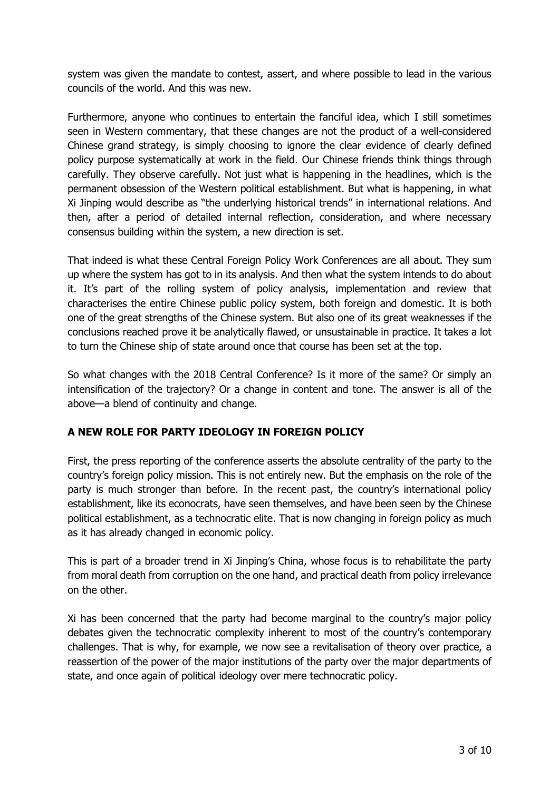system was given the mandate to contest, assert, and where possible to lead in the various councils of the world. And this was new.

Furthermore, anyone who continues to entertain the fanciful idea, which I still sometimes seen in Western commentary, that these changes are not the product of a well-considered Chinese grand strategy, is simply choosing to ignore the clear evidence of clearly defined policy purpose systematically at work in the field. Our Chinese friends think things through carefully. They observe carefully. Not just what is happening in the headlines, which is the permanent obsession of the Western political establishment. But what is happening, in what Xi Jinping would describe as "the underlying historical trends" in international relations. And then, after a period of detailed internal reflection, consideration, and where necessary consensus building within the system, a new direction is set.

That indeed is what these Central Foreign Policy Work Conferences are all about. They sum up where the system has got to in its analysis. And then what the system intends to do about it. It's part of the rolling system of policy analysis, implementation and review that characterises the entire Chinese public policy system, both foreign and domestic. It is both one of the great strengths of the Chinese system. But also one of its great weaknesses if the conclusions reached prove it be analytically flawed, or unsustainable in practice. It takes a lot to turn the Chinese ship of state around once that course has been set at the top.

So what changes with the 2018 Central Conference? Is it more of the same? Or simply an intensification of the trajectory? Or a change in content and tone. The answer is all of the above—a blend of continuity and change.

#### **A NEW ROLE FOR PARTY IDEOLOGY IN FOREIGN POLICY**

First, the press reporting of the conference asserts the absolute centrality of the party to the country's foreign policy mission. This is not entirely new. But the emphasis on the role of the party is much stronger than before. In the recent past, the country's international policy establishment, like its econocrats, have seen themselves, and have been seen by the Chinese political establishment, as a technocratic elite. That is now changing in foreign policy as much as it has already changed in economic policy.

This is part of a broader trend in Xi Jinping's China, whose focus is to rehabilitate the party from moral death from corruption on the one hand, and practical death from policy irrelevance on the other.

Xi has been concerned that the party had become marginal to the country's major policy debates given the technocratic complexity inherent to most of the country's contemporary challenges. That is why, for example, we now see a revitalisation of theory over practice, a reassertion of the power of the major institutions of the party over the major departments of state, and once again of political ideology over mere technocratic policy.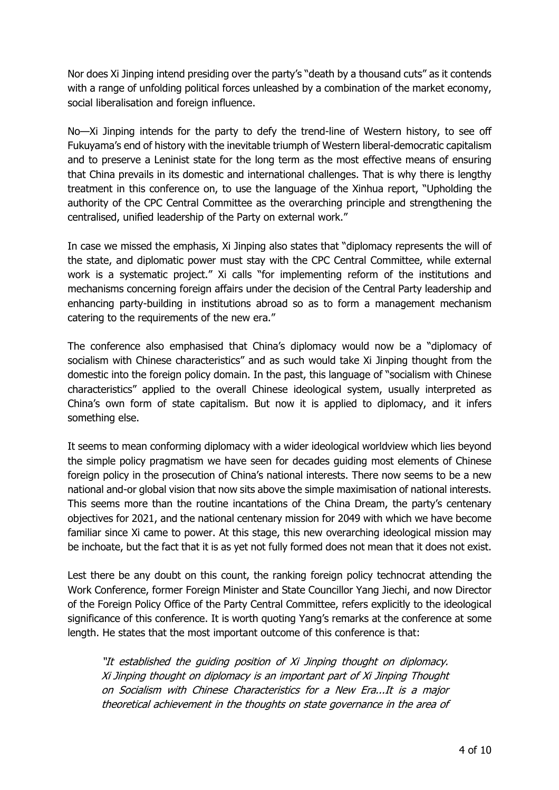Nor does Xi Jinping intend presiding over the party's "death by a thousand cuts" as it contends with a range of unfolding political forces unleashed by a combination of the market economy, social liberalisation and foreign influence.

No—Xi Jinping intends for the party to defy the trend-line of Western history, to see off Fukuyama's end of history with the inevitable triumph of Western liberal-democratic capitalism and to preserve a Leninist state for the long term as the most effective means of ensuring that China prevails in its domestic and international challenges. That is why there is lengthy treatment in this conference on, to use the language of the Xinhua report, "Upholding the authority of the CPC Central Committee as the overarching principle and strengthening the centralised, unified leadership of the Party on external work."

In case we missed the emphasis, Xi Jinping also states that "diplomacy represents the will of the state, and diplomatic power must stay with the CPC Central Committee, while external work is a systematic project." Xi calls "for implementing reform of the institutions and mechanisms concerning foreign affairs under the decision of the Central Party leadership and enhancing party-building in institutions abroad so as to form a management mechanism catering to the requirements of the new era."

The conference also emphasised that China's diplomacy would now be a "diplomacy of socialism with Chinese characteristics" and as such would take Xi Jinping thought from the domestic into the foreign policy domain. In the past, this language of "socialism with Chinese characteristics" applied to the overall Chinese ideological system, usually interpreted as China's own form of state capitalism. But now it is applied to diplomacy, and it infers something else.

It seems to mean conforming diplomacy with a wider ideological worldview which lies beyond the simple policy pragmatism we have seen for decades guiding most elements of Chinese foreign policy in the prosecution of China's national interests. There now seems to be a new national and-or global vision that now sits above the simple maximisation of national interests. This seems more than the routine incantations of the China Dream, the party's centenary objectives for 2021, and the national centenary mission for 2049 with which we have become familiar since Xi came to power. At this stage, this new overarching ideological mission may be inchoate, but the fact that it is as yet not fully formed does not mean that it does not exist.

Lest there be any doubt on this count, the ranking foreign policy technocrat attending the Work Conference, former Foreign Minister and State Councillor Yang Jiechi, and now Director of the Foreign Policy Office of the Party Central Committee, refers explicitly to the ideological significance of this conference. It is worth quoting Yang's remarks at the conference at some length. He states that the most important outcome of this conference is that:

"It established the guiding position of Xi Jinping thought on diplomacy. Xi Jinping thought on diplomacy is an important part of Xi Jinping Thought on Socialism with Chinese Characteristics for <sup>a</sup> New Era...It is <sup>a</sup> major theoretical achievement in the thoughts on state governance in the area of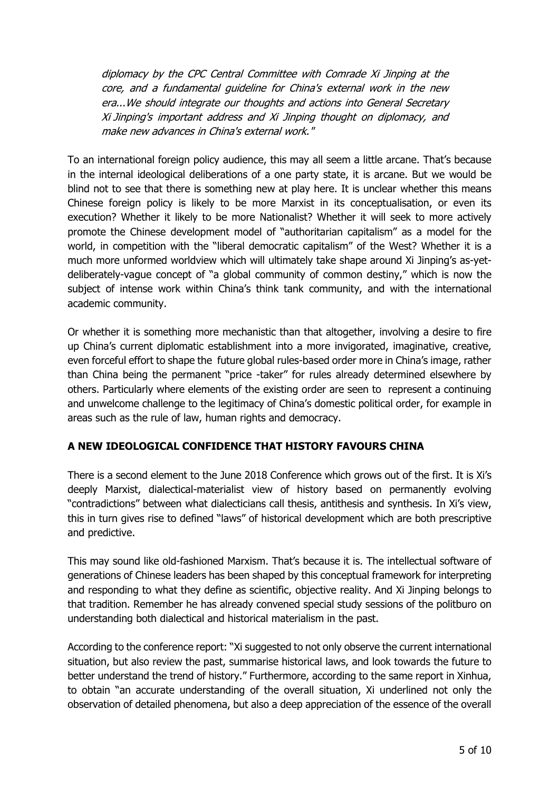diplomacy by the CPC Central Committee with Comrade Xi Jinping at the core, and <sup>a</sup> fundamental guideline for China's external work in the new era...We should integrate our thoughts and actions into General Secretary Xi Jinping's important address and Xi Jinping thought on diplomacy, and make new advances in China's external work."

To an international foreign policy audience, this may all seem a little arcane. That's because in the internal ideological deliberations of a one party state, it is arcane. But we would be blind not to see that there is something new at play here. It is unclear whether this means Chinese foreign policy is likely to be more Marxist in its conceptualisation, or even its execution? Whether it likely to be more Nationalist? Whether it will seek to more actively promote the Chinese development model of "authoritarian capitalism" as a model for the world, in competition with the "liberal democratic capitalism" of the West? Whether it is a much more unformed worldview which will ultimately take shape around Xi Jinping's as-yetdeliberately-vague concept of "a global community of common destiny," which is now the subject of intense work within China's think tank community, and with the international academic community.

Or whether it is something more mechanistic than that altogether, involving a desire to fire up China's current diplomatic establishment into a more invigorated, imaginative, creative, even forceful effort to shape the future global rules-based order more in China's image, rather than China being the permanent "price -taker" for rules already determined elsewhere by others. Particularly where elements of the existing order are seen to represent a continuing and unwelcome challenge to the legitimacy of China's domestic political order, for example in areas such as the rule of law, human rights and democracy.

# **A NEW IDEOLOGICAL CONFIDENCE THAT HISTORY FAVOURS CHINA**

There is a second element to the June 2018 Conference which grows out of the first. It is Xi's deeply Marxist, dialectical-materialist view of history based on permanently evolving "contradictions" between what dialecticians call thesis, antithesis and synthesis. In Xi's view, this in turn gives rise to defined "laws" of historical development which are both prescriptive and predictive.

This may sound like old-fashioned Marxism. That's because it is. The intellectual software of generations of Chinese leaders has been shaped by this conceptual framework for interpreting and responding to what they define as scientific, objective reality. And Xi Jinping belongs to that tradition. Remember he has already convened special study sessions of the politburo on understanding both dialectical and historical materialism in the past.

According to the conference report: "Xi suggested to not only observe the current international situation, but also review the past, summarise historical laws, and look towards the future to better understand the trend of history." Furthermore, according to the same report in Xinhua, to obtain "an accurate understanding of the overall situation, Xi underlined not only the observation of detailed phenomena, but also a deep appreciation of the essence of the overall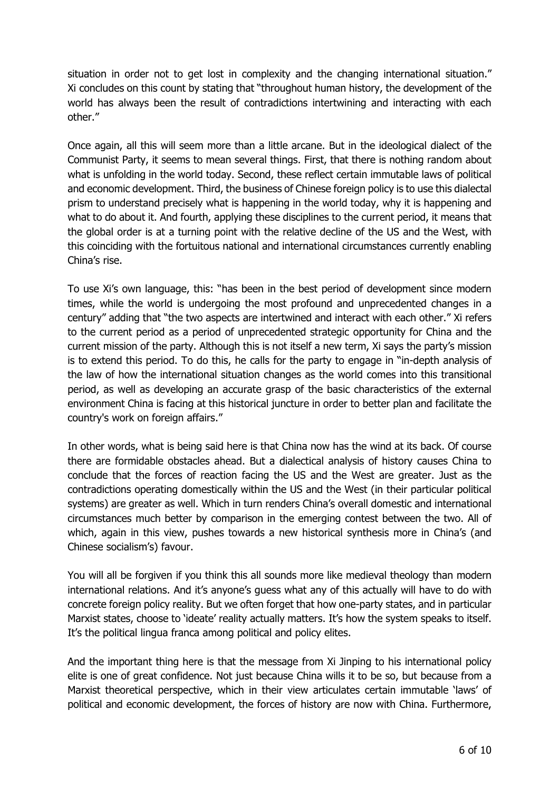situation in order not to get lost in complexity and the changing international situation." Xi concludes on this count by stating that "throughout human history, the development of the world has always been the result of contradictions intertwining and interacting with each other."

Once again, all this will seem more than a little arcane. But in the ideological dialect of the Communist Party, it seems to mean several things. First, that there is nothing random about what is unfolding in the world today. Second, these reflect certain immutable laws of political and economic development. Third, the business of Chinese foreign policy is to use this dialectal prism to understand precisely what is happening in the world today, why it is happening and what to do about it. And fourth, applying these disciplines to the current period, it means that the global order is at a turning point with the relative decline of the US and the West, with this coinciding with the fortuitous national and international circumstances currently enabling China's rise.

To use Xi's own language, this: "has been in the best period of development since modern times, while the world is undergoing the most profound and unprecedented changes in a century" adding that "the two aspects are intertwined and interact with each other." Xi refers to the current period as a period of unprecedented strategic opportunity for China and the current mission of the party. Although this is not itself a new term, Xi says the party's mission is to extend this period. To do this, he calls for the party to engage in "in-depth analysis of the law of how the international situation changes as the world comes into this transitional period, as well as developing an accurate grasp of the basic characteristics of the external environment China is facing at this historical juncture in order to better plan and facilitate the country's work on foreign affairs."

In other words, what is being said here is that China now has the wind at its back. Of course there are formidable obstacles ahead. But a dialectical analysis of history causes China to conclude that the forces of reaction facing the US and the West are greater. Just as the contradictions operating domestically within the US and the West (in their particular political systems) are greater as well. Which in turn renders China's overall domestic and international circumstances much better by comparison in the emerging contest between the two. All of which, again in this view, pushes towards a new historical synthesis more in China's (and Chinese socialism's) favour.

You will all be forgiven if you think this all sounds more like medieval theology than modern international relations. And it's anyone's guess what any of this actually will have to do with concrete foreign policy reality. But we often forget that how one-party states, and in particular Marxist states, choose to 'ideate' reality actually matters. It's how the system speaks to itself. It's the political lingua franca among political and policy elites.

And the important thing here is that the message from Xi Jinping to his international policy elite is one of great confidence. Not just because China wills it to be so, but because from a Marxist theoretical perspective, which in their view articulates certain immutable 'laws' of political and economic development, the forces of history are now with China. Furthermore,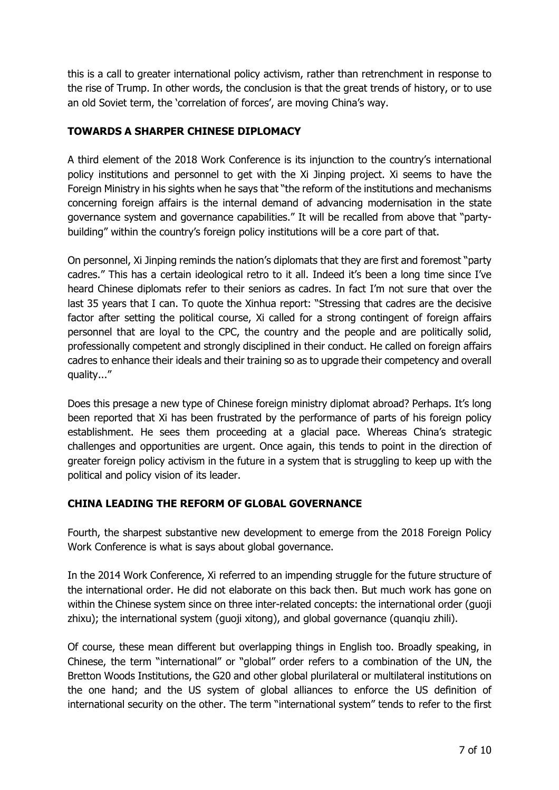this is a call to greater international policy activism, rather than retrenchment in response to the rise of Trump. In other words, the conclusion is that the great trends of history, or to use an old Soviet term, the 'correlation of forces', are moving China's way.

# **TOWARDS A SHARPER CHINESE DIPLOMACY**

A third element of the 2018 Work Conference is its injunction to the country's international policy institutions and personnel to get with the Xi Jinping project. Xi seems to have the Foreign Ministry in his sights when he says that "the reform of the institutions and mechanisms concerning foreign affairs is the internal demand of advancing modernisation in the state governance system and governance capabilities." It will be recalled from above that "partybuilding" within the country's foreign policy institutions will be a core part of that.

On personnel, Xi Jinping reminds the nation's diplomats that they are first and foremost "party cadres." This has a certain ideological retro to it all. Indeed it's been a long time since I've heard Chinese diplomats refer to their seniors as cadres. In fact I'm not sure that over the last 35 years that I can. To quote the Xinhua report: "Stressing that cadres are the decisive factor after setting the political course, Xi called for a strong contingent of foreign affairs personnel that are loyal to the CPC, the country and the people and are politically solid, professionally competent and strongly disciplined in their conduct. He called on foreign affairs cadres to enhance their ideals and their training so as to upgrade their competency and overall quality..."

Does this presage a new type of Chinese foreign ministry diplomat abroad? Perhaps. It's long been reported that Xi has been frustrated by the performance of parts of his foreign policy establishment. He sees them proceeding at a glacial pace. Whereas China's strategic challenges and opportunities are urgent. Once again, this tends to point in the direction of greater foreign policy activism in the future in a system that is struggling to keep up with the political and policy vision of its leader.

# **CHINA LEADING THE REFORM OF GLOBAL GOVERNANCE**

Fourth, the sharpest substantive new development to emerge from the 2018 Foreign Policy Work Conference is what is says about global governance.

In the 2014 Work Conference, Xi referred to an impending struggle for the future structure of the international order. He did not elaborate on this back then. But much work has gone on within the Chinese system since on three inter-related concepts: the international order (guoji zhixu); the international system (guoji xitong), and global governance (quanqiu zhili).

Of course, these mean different but overlapping things in English too. Broadly speaking, in Chinese, the term "international" or "global" order refers to a combination of the UN, the Bretton Woods Institutions, the G20 and other global plurilateral or multilateral institutions on the one hand; and the US system of global alliances to enforce the US definition of international security on the other. The term "international system" tends to refer to the first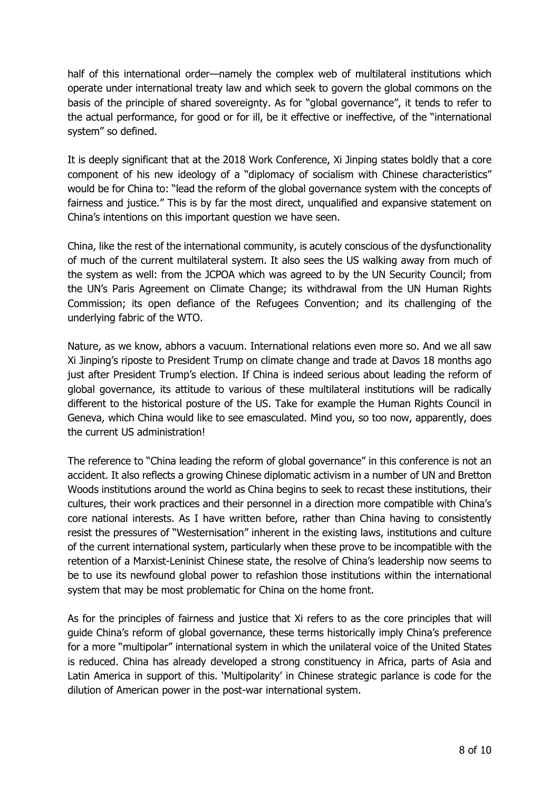half of this international order—namely the complex web of multilateral institutions which operate under international treaty law and which seek to govern the global commons on the basis of the principle of shared sovereignty. As for "global governance", it tends to refer to the actual performance, for good or for ill, be it effective or ineffective, of the "international system" so defined.

It is deeply significant that at the 2018 Work Conference, Xi Jinping states boldly that a core component of his new ideology of a "diplomacy of socialism with Chinese characteristics" would be for China to: "lead the reform of the global governance system with the concepts of fairness and justice." This is by far the most direct, unqualified and expansive statement on China's intentions on this important question we have seen.

China, like the rest of the international community, is acutely conscious of the dysfunctionality of much of the current multilateral system. It also sees the US walking away from much of the system as well: from the JCPOA which was agreed to by the UN Security Council; from the UN's Paris Agreement on Climate Change; its withdrawal from the UN Human Rights Commission; its open defiance of the Refugees Convention; and its challenging of the underlying fabric of the WTO.

Nature, as we know, abhors a vacuum. International relations even more so. And we all saw Xi Jinping's riposte to President Trump on climate change and trade at Davos 18 months ago just after President Trump's election. If China is indeed serious about leading the reform of global governance, its attitude to various of these multilateral institutions will be radically different to the historical posture of the US. Take for example the Human Rights Council in Geneva, which China would like to see emasculated. Mind you, so too now, apparently, does the current US administration!

The reference to "China leading the reform of global governance" in this conference is not an accident. It also reflects a growing Chinese diplomatic activism in a number of UN and Bretton Woods institutions around the world as China begins to seek to recast these institutions, their cultures, their work practices and their personnel in a direction more compatible with China's core national interests. As I have written before, rather than China having to consistently resist the pressures of "Westernisation" inherent in the existing laws, institutions and culture of the current international system, particularly when these prove to be incompatible with the retention of a Marxist-Leninist Chinese state, the resolve of China's leadership now seems to be to use its newfound global power to refashion those institutions within the international system that may be most problematic for China on the home front.

As for the principles of fairness and justice that Xi refers to as the core principles that will guide China's reform of global governance, these terms historically imply China's preference for a more "multipolar" international system in which the unilateral voice of the United States is reduced. China has already developed a strong constituency in Africa, parts of Asia and Latin America in support of this. 'Multipolarity' in Chinese strategic parlance is code for the dilution of American power in the post-war international system.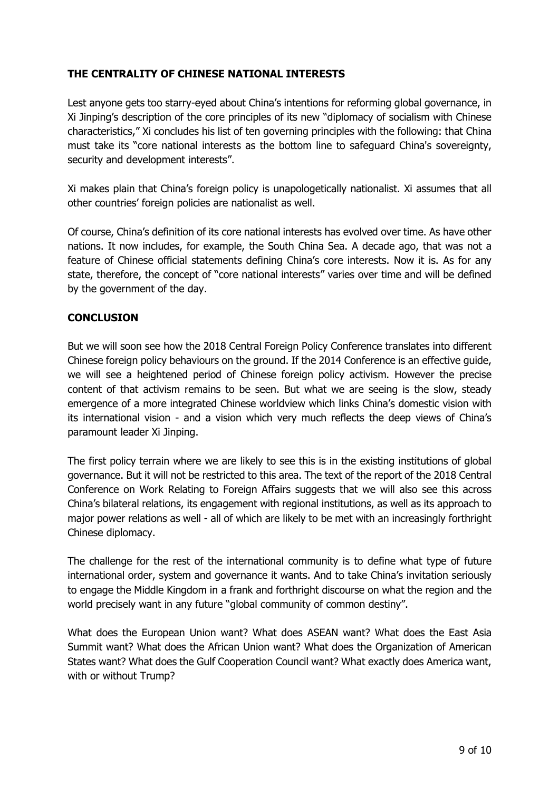## **THE CENTRALITY OF CHINESE NATIONAL INTERESTS**

Lest anyone gets too starry-eyed about China's intentions for reforming global governance, in Xi Jinping's description of the core principles of its new "diplomacy of socialism with Chinese characteristics," Xi concludes his list of ten governing principles with the following: that China must take its "core national interests as the bottom line to safeguard China's sovereignty, security and development interests".

Xi makes plain that China's foreign policy is unapologetically nationalist. Xi assumes that all other countries' foreign policies are nationalist as well.

Of course, China's definition of its core national interests has evolved over time. As have other nations. It now includes, for example, the South China Sea. A decade ago, that was not a feature of Chinese official statements defining China's core interests. Now it is. As for any state, therefore, the concept of "core national interests" varies over time and will be defined by the government of the day.

# **CONCLUSION**

But we will soon see how the 2018 Central Foreign Policy Conference translates into different Chinese foreign policy behaviours on the ground. If the 2014 Conference is an effective guide, we will see a heightened period of Chinese foreign policy activism. However the precise content of that activism remains to be seen. But what we are seeing is the slow, steady emergence of a more integrated Chinese worldview which links China's domestic vision with its international vision - and a vision which very much reflects the deep views of China's paramount leader Xi Jinping.

The first policy terrain where we are likely to see this is in the existing institutions of global governance. But it will not be restricted to this area. The text of the report of the 2018 Central Conference on Work Relating to Foreign Affairs suggests that we will also see this across China's bilateral relations, its engagement with regional institutions, as well as its approach to major power relations as well - all of which are likely to be met with an increasingly forthright Chinese diplomacy.

The challenge for the rest of the international community is to define what type of future international order, system and governance it wants. And to take China's invitation seriously to engage the Middle Kingdom in a frank and forthright discourse on what the region and the world precisely want in any future "global community of common destiny".

What does the European Union want? What does ASEAN want? What does the East Asia Summit want? What does the African Union want? What does the Organization of American States want? What does the Gulf Cooperation Council want? What exactly does America want, with or without Trump?